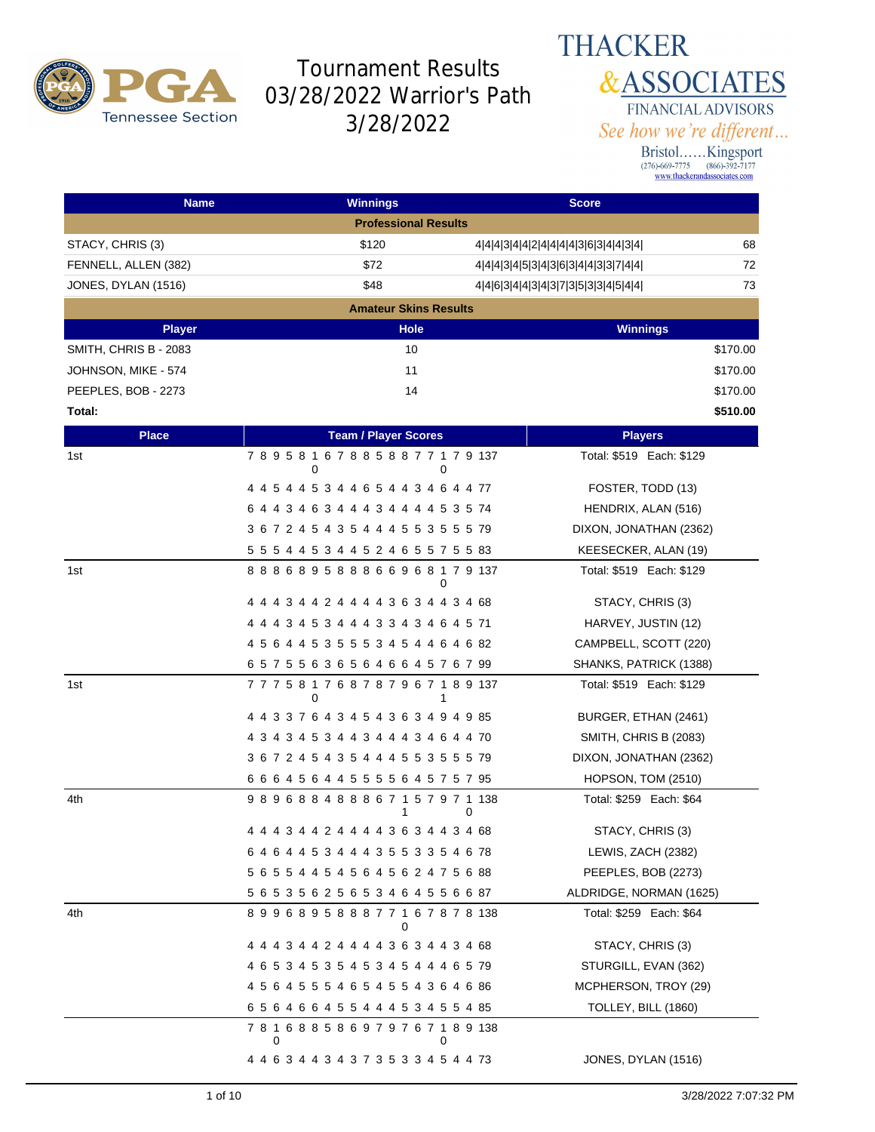

#### **THACKER &ASSOCIATES** FINANCIAL ADVISORS See how we're different...

| <b>Name</b>           | <b>Winnings</b>                              | <b>Score</b>                        |          |
|-----------------------|----------------------------------------------|-------------------------------------|----------|
|                       | <b>Professional Results</b>                  |                                     |          |
| STACY, CHRIS (3)      | \$120                                        | 4 4 4 3 4 4 2 4 4 4 4 3 6 3 4 4 3 4 | 68       |
| FENNELL, ALLEN (382)  | \$72                                         | 4 4 4 3 4 5 3 4 3 6 3 4 4 3 3 7 4 4 | 72       |
| JONES, DYLAN (1516)   | \$48                                         | 4 4 6 3 4 4 3 4 3 7 3 5 3 3 4 5 4 4 | 73       |
|                       | <b>Amateur Skins Results</b>                 |                                     |          |
| <b>Player</b>         | Hole                                         | <b>Winnings</b>                     |          |
| SMITH, CHRIS B - 2083 | 10                                           |                                     | \$170.00 |
| JOHNSON, MIKE - 574   | 11                                           |                                     | \$170.00 |
| PEEPLES, BOB - 2273   | 14                                           |                                     | \$170.00 |
| Total:                |                                              |                                     | \$510.00 |
| <b>Place</b>          | <b>Team / Player Scores</b>                  | <b>Players</b>                      |          |
| 1st                   | 789581678858877179137<br>0                   | Total: \$519 Each: \$129<br>0       |          |
|                       | 4 4 5 4 4 5 3 4 4 6 5 4 4 3 4 6 4 4 77       | FOSTER, TODD (13)                   |          |
|                       | 6 4 4 3 4 6 3 4 4 4 3 4 4 4 4 5 3 5 74       | HENDRIX, ALAN (516)                 |          |
|                       | 3 6 7 2 4 5 4 3 5 4 4 4 5 5 3 5 5 5 79       | DIXON, JONATHAN (2362)              |          |
|                       | 5 5 5 4 4 5 3 4 4 5 2 4 6 5 5 7 5 5 83       | KEESECKER, ALAN (19)                |          |
| 1st                   | 888689588866968179137                        | Total: \$519 Each: \$129<br>0       |          |
|                       | 4 4 4 3 4 4 2 4 4 4 4 3 6 3 4 4 3 4 68       | STACY, CHRIS (3)                    |          |
|                       | 4 4 4 3 4 5 3 4 4 4 3 3 4 3 4 6 4 5 71       | HARVEY, JUSTIN (12)                 |          |
|                       | 4 5 6 4 4 5 3 5 5 5 3 4 5 4 4 6 4 6 82       | CAMPBELL, SCOTT (220)               |          |
|                       | 6 5 7 5 5 6 3 6 5 6 4 6 6 4 5 7 6 7 99       | SHANKS, PATRICK (1388)              |          |
| 1st                   | 7 7 7 5 8 1 7 6 8 7 8 7 9 6 7 1 8 9 137<br>0 | Total: \$519 Each: \$129<br>1       |          |
|                       | 4 4 3 3 7 6 4 3 4 5 4 3 6 3 4 9 4 9 85       | BURGER, ETHAN (2461)                |          |
|                       | 4 3 4 3 4 5 3 4 4 3 4 4 4 3 4 6 4 4 70       | SMITH, CHRIS B (2083)               |          |
|                       | 3 6 7 2 4 5 4 3 5 4 4 4 5 5 3 5 5 5 79       | DIXON, JONATHAN (2362)              |          |
|                       | 6 6 6 4 5 6 4 4 5 5 5 5 6 4 5 7 5 7 95       | HOPSON, TOM (2510)                  |          |
| 4th                   | 9 8 9 6 8 8 4 8 8 8 6 7 1 5 7 9 7 1 138<br>1 | Total: \$259 Each: \$64<br>0        |          |
|                       | 4 4 4 3 4 4 2 4 4 4 4 3 6 3 4 4 3 4 68       | STACY, CHRIS (3)                    |          |
|                       | 6 4 6 4 4 5 3 4 4 4 3 5 5 3 3 5 4 6 78       | LEWIS, ZACH (2382)                  |          |
|                       | 5 6 5 5 4 4 5 4 5 6 4 5 6 2 4 7 5 6 88       | PEEPLES, BOB (2273)                 |          |
|                       | 5 6 5 3 5 6 2 5 6 5 3 4 6 4 5 5 6 6 87       | ALDRIDGE, NORMAN (1625)             |          |
| 4th                   | 899689588877167878138<br>0                   | Total: \$259 Each: \$64             |          |
|                       | 4 4 4 3 4 4 2 4 4 4 4 3 6 3 4 4 3 4 68       | STACY, CHRIS (3)                    |          |
|                       | 4 6 5 3 4 5 3 5 4 5 3 4 5 4 4 4 6 5 79       | STURGILL, EVAN (362)                |          |
|                       | 4 5 6 4 5 5 5 4 6 5 4 5 5 4 3 6 4 6 86       | MCPHERSON, TROY (29)                |          |
|                       | 6 5 6 4 6 6 4 5 5 4 4 4 5 3 4 5 5 4 85       | TOLLEY, BILL (1860)                 |          |
|                       | 781688586979767189138<br>0                   |                                     |          |
|                       | 4 4 6 3 4 4 3 4 3 7 3 5 3 3 4 5 4 4 73       | JONES, DYLAN (1516)                 |          |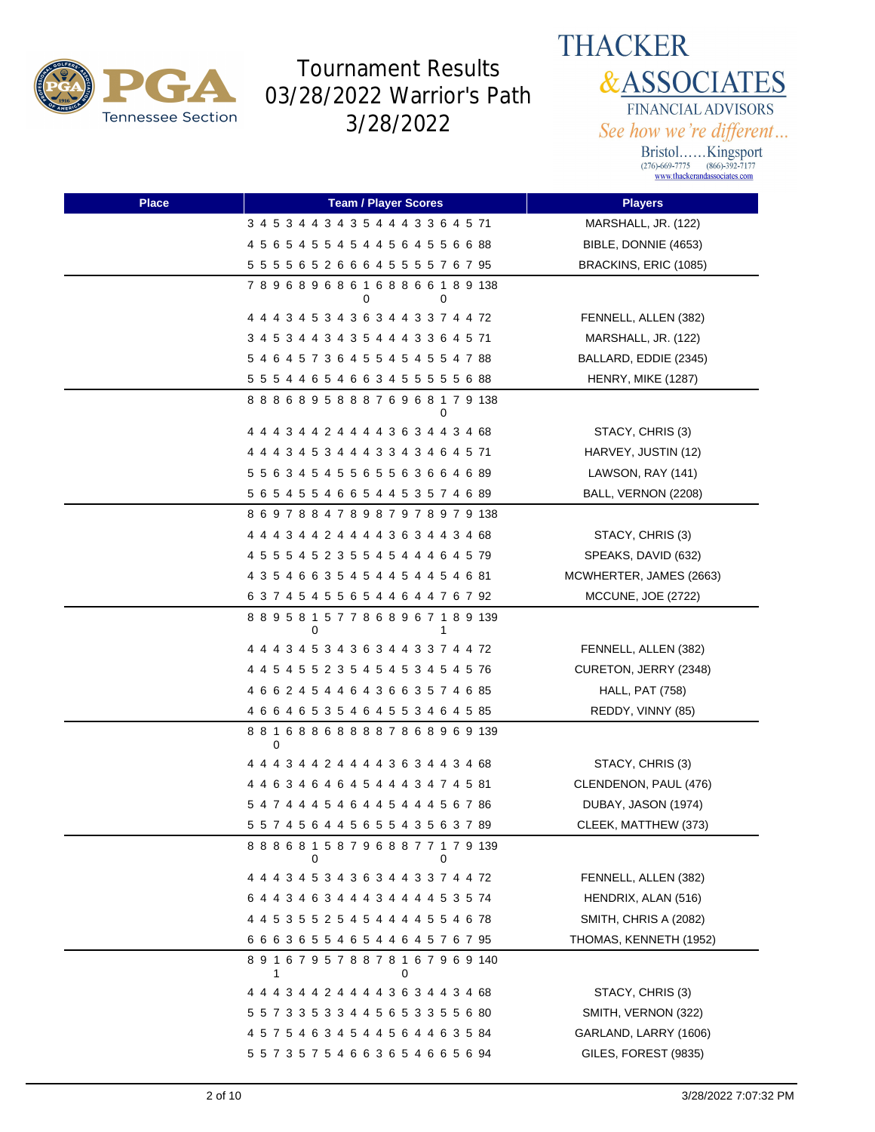

# **THACKER &ASSOCIATES** FINANCIAL ADVISORS

See how we're different... Bristol......Kingsport<br>
(276)-669-7775 (866)-392-7177<br>
www.thackerandassociates.com

| <b>Place</b> | <b>Team / Player Scores</b>                       | <b>Players</b>          |
|--------------|---------------------------------------------------|-------------------------|
|              | 3 4 5 3 4 4 3 4 3 5 4 4 4 3 3 6 4 5 71            | MARSHALL, JR. (122)     |
|              | 4 5 6 5 4 5 5 4 5 4 4 5 6 4 5 5 6 6 88            | BIBLE, DONNIE (4653)    |
|              | 5 5 5 5 6 5 2 6 6 6 4 5 5 5 5 7 6 7 95            | BRACKINS, ERIC (1085)   |
|              | 789689686168866189138<br>0<br>0                   |                         |
|              | 4 4 4 3 4 5 3 4 3 6 3 4 4 3 3 7 4 4 72            | FENNELL, ALLEN (382)    |
|              | 3 4 5 3 4 4 3 4 3 5 4 4 4 3 3 6 4 5 71            | MARSHALL, JR. (122)     |
|              |                                                   | BALLARD, EDDIE (2345)   |
|              | 5 5 5 4 4 6 5 4 6 6 3 4 5 5 5 5 5 6 88            | HENRY, MIKE (1287)      |
|              | 888689588876968179138<br>0                        |                         |
|              | 4 4 4 3 4 4 2 4 4 4 4 3 6 3 4 4 3 4 68            | STACY, CHRIS (3)        |
|              | 4 4 4 3 4 5 3 4 4 4 3 3 4 3 4 6 4 5 71            | HARVEY, JUSTIN (12)     |
|              | 5 5 6 3 4 5 4 5 5 6 5 5 6 3 6 6 4 6 89            | LAWSON, RAY (141)       |
|              | 5 6 5 4 5 5 4 6 6 5 4 4 5 3 5 7 4 6 89            | BALL, VERNON (2208)     |
|              | 8 6 9 7 8 8 4 7 8 9 8 7 9 7 8 9 7 9 138           |                         |
|              | 4 4 4 3 4 4 2 4 4 4 4 3 6 3 4 4 3 4 68            | STACY, CHRIS (3)        |
|              | 4 5 5 5 4 5 2 3 5 5 4 5 4 4 4 6 4 5 79            | SPEAKS, DAVID (632)     |
|              | 4 3 5 4 6 6 3 5 4 5 4 4 5 4 4 5 4 6 81            | MCWHERTER, JAMES (2663) |
|              | 6 3 7 4 5 4 5 5 6 5 4 4 6 4 4 7 6 7 92            | MCCUNE, JOE (2722)      |
|              | 889581577868967189139                             |                         |
|              | 4 4 4 3 4 5 3 4 3 6 3 4 4 3 3 7 4 4 72            | FENNELL, ALLEN (382)    |
|              | 4 4 5 4 5 5 2 3 5 4 5 4 5 3 4 5 4 5 76            | CURETON, JERRY (2348)   |
|              | 4 6 6 2 4 5 4 4 6 4 3 6 6 3 5 7 4 6 85            | <b>HALL, PAT (758)</b>  |
|              | 4 6 6 4 6 5 3 5 4 6 4 5 5 3 4 6 4 5 85            | REDDY, VINNY (85)       |
|              | 8 8 1 6 8 8 6 8 8 8 8 7 8 6 8 9 6 9 139<br>0      |                         |
|              | 4 4 4 3 4 4 2 4 4 4 4 3 6 3 4 4 3 4 68            | STACY, CHRIS (3)        |
|              | 4 4 6 3 4 6 4 6 4 5 4 4 4 3 4 7 4 5 81            | CLENDENON, PAUL (476)   |
|              | 5 4 7 4 4 4 5 4 6 4 4 5 4 4 4 5 6 7 86            | DUBAY, JASON (1974)     |
|              | 5 5 7 4 5 6 4 4 5 6 5 5 4 3 5 6 3 7 89            | CLEEK, MATTHEW (373)    |
|              | 888681587968877179139<br>0<br>0                   |                         |
|              | 4 4 4 3 4 5 3 4 3 6 3 4 4 3 3 7 4 4 72            | FENNELL, ALLEN (382)    |
|              | 6 4 4 3 4 6 3 4 4 4 3 4 4 4 4 5 3 5 74            | HENDRIX, ALAN (516)     |
|              | 4 4 5 3 5 5 2 5 4 5 4 4 4 4 5 5 4 6 78            | SMITH, CHRIS A (2082)   |
|              | 6 6 6 3 6 5 5 4 6 5 4 4 6 4 5 7 6 7 95            | THOMAS, KENNETH (1952)  |
|              | 8 9 1 6 7 9 5 7 8 8 7 8 1 6 7 9 6 9 140<br>1<br>0 |                         |
|              | 4 4 4 3 4 4 2 4 4 4 4 3 6 3 4 4 3 4 68            | STACY, CHRIS (3)        |
|              | 5 5 7 3 3 5 3 3 4 4 5 6 5 3 3 5 5 6 80            | SMITH, VERNON (322)     |
|              | 4 5 7 5 4 6 3 4 5 4 4 5 6 4 4 6 3 5 84            | GARLAND, LARRY (1606)   |
|              | 5 5 7 3 5 7 5 4 6 6 3 6 5 4 6 6 5 6 94            | GILES, FOREST (9835)    |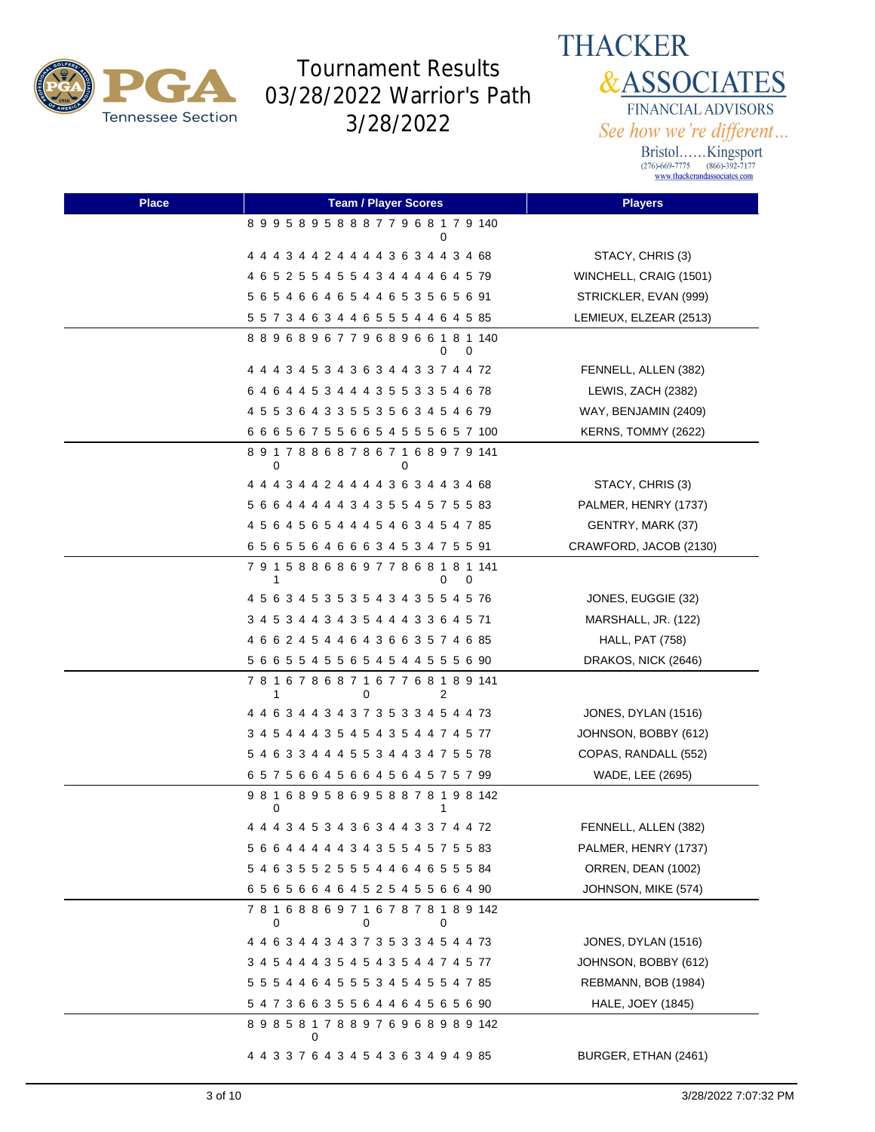

**THACKER &ASSOCIATES** FINANCIAL ADVISORS See how we're different...

| <b>Place</b> | <b>Team / Player Scores</b>                            | <b>Players</b>         |
|--------------|--------------------------------------------------------|------------------------|
|              | 899589588877968179140<br>0                             |                        |
|              | 4 4 4 3 4 4 2 4 4 4 4 3 6 3 4 4 3 4 68                 | STACY, CHRIS (3)       |
|              | 4 6 5 2 5 5 4 5 5 4 3 4 4 4 4 6 4 5 79                 | WINCHELL, CRAIG (1501) |
|              | 5 6 5 4 6 6 4 6 5 4 4 6 5 3 5 6 5 6 91                 | STRICKLER, EVAN (999)  |
|              | 5 5 7 3 4 6 3 4 4 6 5 5 5 4 4 6 4 5 85                 | LEMIEUX, ELZEAR (2513) |
|              | 889689677968966181140<br>0<br>0                        |                        |
|              | 4 4 4 3 4 5 3 4 3 6 3 4 4 3 3 7 4 4 72                 | FENNELL, ALLEN (382)   |
|              | 6 4 6 4 4 5 3 4 4 4 3 5 5 3 3 5 4 6 78                 | LEWIS, ZACH (2382)     |
|              | 4 5 5 3 6 4 3 3 5 5 3 5 6 3 4 5 4 6 79                 | WAY, BENJAMIN (2409)   |
|              | 6 6 6 5 6 7 5 5 6 6 5 4 5 5 5 6 5 7 100                | KERNS, TOMMY (2622)    |
|              | 891788687867168979141<br>0<br>0                        |                        |
|              | 4 4 4 3 4 4 2 4 4 4 4 3 6 3 4 4 3 4 68                 | STACY, CHRIS (3)       |
|              | 5 6 6 4 4 4 4 4 3 4 3 5 5 4 5 7 5 5 83                 | PALMER, HENRY (1737)   |
|              | 4 5 6 4 5 6 5 4 4 4 5 4 6 3 4 5 4 7 85                 | GENTRY, MARK (37)      |
|              | 6 5 6 5 5 6 4 6 6 6 3 4 5 3 4 7 5 5 91                 | CRAWFORD, JACOB (2130) |
|              | 7 9 1 5 8 8 6 8 6 9 7 7 8 6 8 1 8 1 141<br>0<br>1<br>0 |                        |
|              | 4 5 6 3 4 5 3 5 3 5 4 3 4 3 5 5 4 5 76                 | JONES, EUGGIE (32)     |
|              | 3 4 5 3 4 4 3 4 3 5 4 4 4 3 3 6 4 5 71                 | MARSHALL, JR. (122)    |
|              | 4 6 6 2 4 5 4 4 6 4 3 6 6 3 5 7 4 6 85                 | <b>HALL, PAT (758)</b> |
|              | 5 6 6 5 5 4 5 5 6 5 4 5 4 4 5 5 5 6 90                 | DRAKOS, NICK (2646)    |
|              | 781678687167768189141<br>1<br>2<br>0                   |                        |
|              | 4 4 6 3 4 4 3 4 3 7 3 5 3 3 4 5 4 4 73                 | JONES, DYLAN (1516)    |
|              | 3 4 5 4 4 4 3 5 4 5 4 3 5 4 4 7 4 5 77                 | JOHNSON, BOBBY (612)   |
|              | 5 4 6 3 3 4 4 4 5 5 3 4 4 3 4 7 5 5 78                 | COPAS, RANDALL (552)   |
|              | 6 5 7 5 6 6 4 5 6 6 4 5 6 4 5 7 5 7 99                 | WADE, LEE (2695)       |
|              | 981689586958878198142<br>0<br>1                        |                        |
|              | 4 4 4 3 4 5 3 4 3 6 3 4 4 3 3 7 4 4 72                 | FENNELL, ALLEN (382)   |
|              | 5 6 6 4 4 4 4 4 3 4 3 5 5 4 5 7 5 5 83                 | PALMER, HENRY (1737)   |
|              | 5 4 6 3 5 5 2 5 5 5 4 4 6 4 6 5 5 5 84                 | ORREN, DEAN (1002)     |
|              | 6 5 6 5 6 6 4 6 4 5 2 5 4 5 5 6 6 4 90                 | JOHNSON, MIKE (574)    |
|              | 7 8 1 6 8 8 6 9 7 1 6 7 8 7 8 1 8 9 142<br>0<br>0<br>0 |                        |
|              | 4 4 6 3 4 4 3 4 3 7 3 5 3 3 4 5 4 4 73                 | JONES, DYLAN (1516)    |
|              | 3 4 5 4 4 4 3 5 4 5 4 3 5 4 4 7 4 5 77                 | JOHNSON, BOBBY (612)   |
|              | 5 5 5 4 4 6 4 5 5 5 3 4 5 4 5 5 4 7 85                 | REBMANN, BOB (1984)    |
|              | 5 4 7 3 6 6 3 5 5 6 4 4 6 4 5 6 5 6 90                 | HALE, JOEY (1845)      |
|              | 8 9 8 5 8 1 7 8 8 9 7 6 9 6 8 9 8 9 142                |                        |
|              | 4 4 3 3 7 6 4 3 4 5 4 3 6 3 4 9 4 9 85                 | BURGER, ETHAN (2461)   |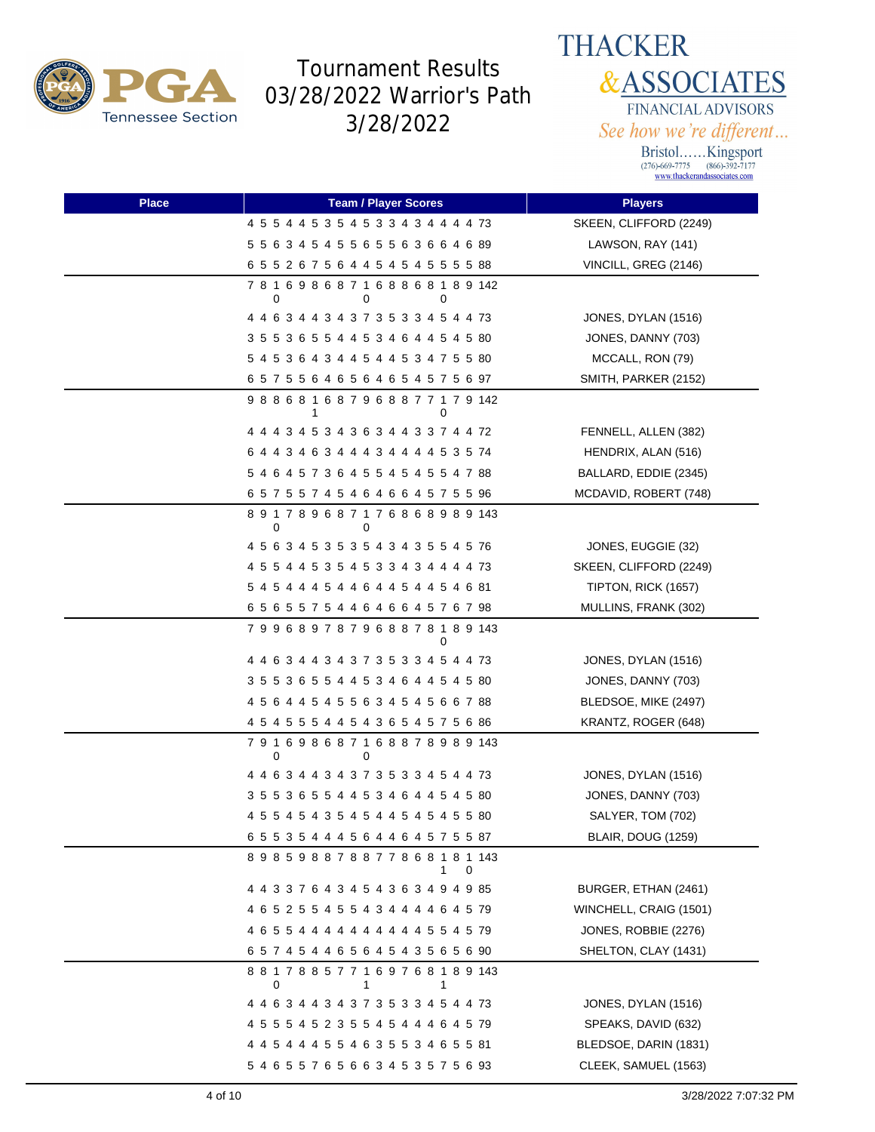



| <b>Place</b> | <b>Team / Player Scores</b>               | <b>Players</b>            |
|--------------|-------------------------------------------|---------------------------|
|              | 4 5 5 4 4 5 3 5 4 5 3 3 4 3 4 4 4 4 73    | SKEEN, CLIFFORD (2249)    |
|              | 5 5 6 3 4 5 4 5 5 6 5 5 6 3 6 6 4 6 89    | LAWSON, RAY (141)         |
|              | 6 5 5 2 6 7 5 6 4 4 5 4 5 4 5 5 5 5 8 8 8 | VINCILL, GREG (2146)      |
|              | 781698687168868189142<br>0<br>0<br>0      |                           |
|              | 4 4 6 3 4 4 3 4 3 7 3 5 3 3 4 5 4 4 73    | JONES, DYLAN (1516)       |
|              | 3 5 5 3 6 5 5 4 4 5 3 4 6 4 4 5 4 5 80    | JONES, DANNY (703)        |
|              | 5 4 5 3 6 4 3 4 4 5 4 4 5 3 4 7 5 5 80    | MCCALL, RON (79)          |
|              | 6 5 7 5 5 6 4 6 5 6 4 6 5 4 5 7 5 6 97    | SMITH, PARKER (2152)      |
|              | 988681687968877179142<br>0<br>1           |                           |
|              | 4 4 4 3 4 5 3 4 3 6 3 4 4 3 3 7 4 4 72    | FENNELL, ALLEN (382)      |
|              | 6 4 4 3 4 6 3 4 4 4 3 4 4 4 4 5 3 5 74    | HENDRIX, ALAN (516)       |
|              | 5 4 6 4 5 7 3 6 4 5 5 4 5 4 5 5 4 7 88    | BALLARD, EDDIE (2345)     |
|              | 6 5 7 5 5 7 4 5 4 6 4 6 6 4 5 7 5 5 96    | MCDAVID, ROBERT (748)     |
|              | 891789687176868989143<br>0<br>0           |                           |
|              | 4 5 6 3 4 5 3 5 3 5 4 3 4 3 5 5 4 5 76    | JONES, EUGGIE (32)        |
|              | 4 5 5 4 4 5 3 5 4 5 3 3 4 3 4 4 4 4 73    | SKEEN, CLIFFORD (2249)    |
|              | 5 4 5 4 4 4 5 4 4 6 4 4 5 4 4 5 4 6 81    | TIPTON, RICK (1657)       |
|              | 6 5 6 5 5 7 5 4 4 6 4 6 6 4 5 7 6 7 98    | MULLINS, FRANK (302)      |
|              | 799689787968878189143<br>0                |                           |
|              | 4 4 6 3 4 4 3 4 3 7 3 5 3 3 4 5 4 4 73    | JONES, DYLAN (1516)       |
|              | 3 5 5 3 6 5 5 4 4 5 3 4 6 4 4 5 4 5 80    | JONES, DANNY (703)        |
|              | 4 5 6 4 4 5 4 5 5 6 3 4 5 4 5 6 6 7 88    | BLEDSOE, MIKE (2497)      |
|              | 4 5 4 5 5 5 4 4 5 4 3 6 5 4 5 7 5 6 86    | KRANTZ, ROGER (648)       |
|              | 791698687168878989143<br>0<br>0           |                           |
|              | 4 4 6 3 4 4 3 4 3 7 3 5 3 3 4 5 4 4 73    | JONES, DYLAN (1516)       |
|              | 3 5 5 3 6 5 5 4 4 5 3 4 6 4 4 5 4 5 80    | JONES, DANNY (703)        |
|              | 4 5 5 4 5 4 3 5 4 5 4 4 5 4 5 4 5 5 80    | SALYER, TOM (702)         |
|              | 6 5 5 3 5 4 4 4 5 6 4 4 6 4 5 7 5 5 87    | <b>BLAIR, DOUG (1259)</b> |
|              | 898598878877868181143<br>1<br>0           |                           |
|              | 4 4 3 3 7 6 4 3 4 5 4 3 6 3 4 9 4 9 85    | BURGER, ETHAN (2461)      |
|              | 4 6 5 2 5 5 4 5 5 4 3 4 4 4 4 6 4 5 79    | WINCHELL, CRAIG (1501)    |
|              | 4 6 5 5 4 4 4 4 4 4 4 4 4 4 5 5 4 5 79    | JONES, ROBBIE (2276)      |
|              | 65745446564543565690                      | SHELTON, CLAY (1431)      |
|              | 881788577169768189143<br>0<br>1<br>1      |                           |
|              | 4 4 6 3 4 4 3 4 3 7 3 5 3 3 4 5 4 4 73    | JONES, DYLAN (1516)       |
|              | 4 5 5 5 4 5 2 3 5 5 4 5 4 4 4 6 4 5 79    | SPEAKS, DAVID (632)       |
|              | 4 4 5 4 4 4 5 5 4 6 3 5 5 3 4 6 5 5 81    | BLEDSOE, DARIN (1831)     |
|              | 5 4 6 5 5 7 6 5 6 6 3 4 5 3 5 7 5 6 93    | CLEEK, SAMUEL (1563)      |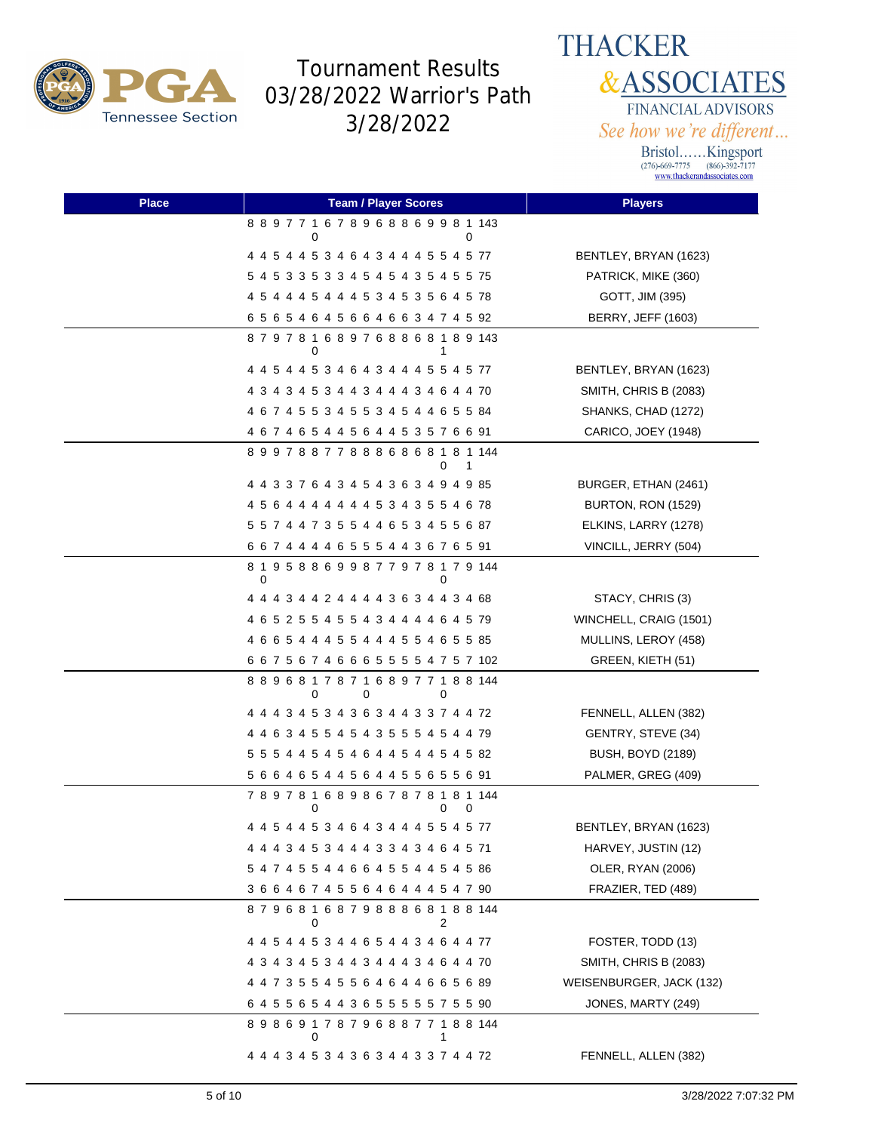

**THACKER &ASSOCIATES** FINANCIAL ADVISORS See how we're different...

| <b>Place</b> | <b>Team / Player Scores</b>                       | <b>Players</b>            |
|--------------|---------------------------------------------------|---------------------------|
|              | 8 8 9 7 7 1 6 7 8 9 6 8 8 6 9 9 8 1 143<br>0<br>0 |                           |
|              | 4 4 5 4 4 5 3 4 6 4 3 4 4 4 5 5 4 5 77            | BENTLEY, BRYAN (1623)     |
|              | 5 4 5 3 3 5 3 3 4 5 4 5 4 3 5 4 5 5 75            | PATRICK, MIKE (360)       |
|              | 4 5 4 4 4 5 4 4 4 5 3 4 5 3 5 6 4 5 78            | GOTT, JIM (395)           |
|              | 6 5 6 5 4 6 4 5 6 6 4 6 6 3 4 7 4 5 92            | <b>BERRY, JEFF (1603)</b> |
|              | 879781689768868189143<br>0<br>1                   |                           |
|              | 4 4 5 4 4 5 3 4 6 4 3 4 4 4 5 5 4 5 77            | BENTLEY, BRYAN (1623)     |
|              | 4 3 4 3 4 5 3 4 4 3 4 4 4 3 4 6 4 4 70            | SMITH, CHRIS B (2083)     |
|              | 4 6 7 4 5 5 3 4 5 5 3 4 5 4 4 6 5 5 84            | SHANKS, CHAD (1272)       |
|              | 4 6 7 4 6 5 4 4 5 6 4 4 5 3 5 7 6 6 91            | CARICO, JOEY (1948)       |
|              | 899788778886868181144<br>0<br>1                   |                           |
|              | 4 4 3 3 7 6 4 3 4 5 4 3 6 3 4 9 4 9 85            | BURGER, ETHAN (2461)      |
|              | 4 5 6 4 4 4 4 4 4 4 5 3 4 3 5 5 4 6 78            | <b>BURTON, RON (1529)</b> |
|              | 5 5 7 4 4 7 3 5 5 4 4 6 5 3 4 5 5 6 87            | ELKINS, LARRY (1278)      |
|              | 6 6 7 4 4 4 4 6 5 5 5 4 4 3 6 7 6 5 91            | VINCILL, JERRY (504)      |
|              | 8 1 9 5 8 8 6 9 9 8 7 7 9 7 8 1 7 9 144<br>0<br>0 |                           |
|              | 4 4 4 3 4 4 2 4 4 4 4 3 6 3 4 4 3 4 68            | STACY, CHRIS (3)          |
|              | 4 6 5 2 5 5 4 5 5 4 3 4 4 4 4 6 4 5 79            | WINCHELL, CRAIG (1501)    |
|              | 4 6 6 5 4 4 4 5 5 4 4 4 5 5 4 6 5 5 85            | MULLINS, LEROY (458)      |
|              | 6 6 7 5 6 7 4 6 6 6 5 5 5 5 4 7 5 7 102           | GREEN, KIETH (51)         |
|              | 889681787168977188144<br>0<br>0<br>0              |                           |
|              | 4 4 4 3 4 5 3 4 3 6 3 4 4 3 3 7 4 4 72            | FENNELL, ALLEN (382)      |
|              | 4 4 6 3 4 5 5 4 5 4 3 5 5 5 4 5 4 4 79            | GENTRY, STEVE (34)        |
|              | 5 5 5 4 4 5 4 5 4 6 4 4 5 4 4 5 4 5 82            | <b>BUSH, BOYD (2189)</b>  |
|              | 5 6 6 4 6 5 4 4 5 6 4 4 5 5 6 5 5 6 91            | PALMER, GREG (409)        |
|              | 789781689867878181144<br>0<br>0<br>0              |                           |
|              | 4 4 5 4 4 5 3 4 6 4 3 4 4 4 5 5 4 5 77            | BENTLEY, BRYAN (1623)     |
|              |                                                   | HARVEY, JUSTIN (12)       |
|              | 5 4 7 4 5 5 4 4 6 6 4 5 5 4 4 5 4 5 86            | OLER, RYAN (2006)         |
|              | 3 6 6 4 6 7 4 5 5 6 4 6 4 4 4 5 4 7 90            | FRAZIER, TED (489)        |
|              | 879681687988868188144<br>2<br>0                   |                           |
|              | 4 4 5 4 4 5 3 4 4 6 5 4 4 3 4 6 4 4 77            | FOSTER, TODD (13)         |
|              | 4 3 4 3 4 5 3 4 4 3 4 4 4 3 4 6 4 4 70            | SMITH, CHRIS B (2083)     |
|              | 4 4 7 3 5 5 4 5 5 6 4 6 4 4 6 6 5 6 89            | WEISENBURGER, JACK (132)  |
|              | 6 4 5 5 6 5 4 4 3 6 5 5 5 5 5 7 5 5 90            | JONES, MARTY (249)        |
|              | 898691787968877188144                             |                           |
|              | 4 4 4 3 4 5 3 4 3 6 3 4 4 3 3 7 4 4 72            | FENNELL, ALLEN (382)      |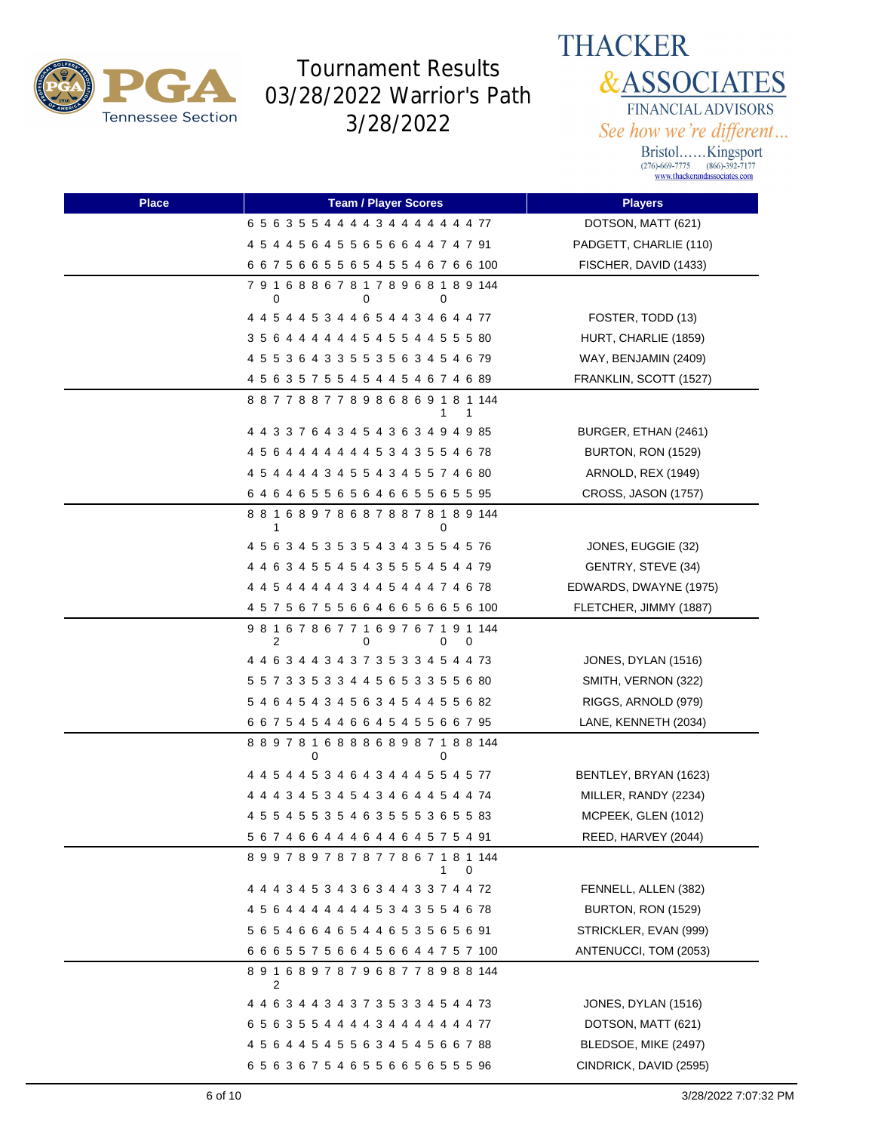

#### **THACKER &ASSOCIATES** FINANCIAL ADVISORS See how we're different...

| <b>Place</b> | <b>Team / Player Scores</b>                                 | <b>Players</b>         |
|--------------|-------------------------------------------------------------|------------------------|
|              | 6 5 6 3 5 5 4 4 4 4 3 4 4 4 4 4 4 4 77                      | DOTSON, MATT (621)     |
|              | 4 5 4 4 5 6 4 5 5 6 5 6 6 4 4 7 4 7 91                      | PADGETT, CHARLIE (110) |
|              | 6 6 7 5 6 6 5 5 6 5 4 5 5 4 6 7 6 6 100                     | FISCHER, DAVID (1433)  |
|              | 791688678178968189144<br>0<br>0<br>0                        |                        |
|              | 4 4 5 4 4 5 3 4 4 6 5 4 4 3 4 6 4 4 77                      | FOSTER, TODD (13)      |
|              | 3 5 6 4 4 4 4 4 4 5 4 5 5 4 4 5 5 5 80                      | HURT, CHARLIE (1859)   |
|              | 4 5 5 3 6 4 3 3 5 5 3 5 6 3 4 5 4 6 79                      | WAY, BENJAMIN (2409)   |
|              | 4 5 6 3 5 7 5 5 4 5 4 4 5 4 6 7 4 6 89                      | FRANKLIN, SCOTT (1527) |
|              | 887788778986869181144<br>1<br>1                             |                        |
|              | 4 4 3 3 7 6 4 3 4 5 4 3 6 3 4 9 4 9 85                      | BURGER, ETHAN (2461)   |
|              | 4 5 6 4 4 4 4 4 4 4 5 3 4 3 5 5 4 6 78                      | BURTON, RON (1529)     |
|              | 4 5 4 4 4 4 3 4 5 5 4 3 4 5 5 7 4 6 80                      | ARNOLD, REX (1949)     |
|              | 6 4 6 4 6 5 5 6 5 6 4 6 6 5 5 6 5 5 95                      | CROSS, JASON (1757)    |
|              | 881689786878878189144                                       |                        |
|              | 4 5 6 3 4 5 3 5 3 5 4 3 4 3 5 5 4 5 76                      | JONES, EUGGIE (32)     |
|              | 4 4 6 3 4 5 5 4 5 4 3 5 5 5 4 5 4 4 79                      | GENTRY, STEVE (34)     |
|              | 4 4 5 4 4 4 4 4 3 4 4 5 4 4 4 7 4 6 78                      | EDWARDS, DWAYNE (1975) |
|              | 4 5 7 5 6 7 5 5 6 6 4 6 6 5 6 6 5 6 100                     | FLETCHER, JIMMY (1887) |
|              | 9 8 1 6 7 8 6 7 7 1 6 9 7 6 7 1 9 1 144<br>2<br>0<br>0<br>0 |                        |
|              | 4 4 6 3 4 4 3 4 3 7 3 5 3 3 4 5 4 4 73                      | JONES, DYLAN (1516)    |
|              | 5 5 7 3 3 5 3 3 4 4 5 6 5 3 3 5 5 6 80                      | SMITH, VERNON (322)    |
|              | 5 4 6 4 5 4 3 4 5 6 3 4 5 4 4 5 5 6 82                      | RIGGS, ARNOLD (979)    |
|              | 6 6 7 5 4 5 4 4 6 6 4 5 4 5 5 6 6 7 95                      | LANE, KENNETH (2034)   |
|              | 889781688868987188144<br>0<br>0                             |                        |
|              | 4 4 5 4 4 5 3 4 6 4 3 4 4 4 5 5 4 5 77                      | BENTLEY, BRYAN (1623)  |
|              | 4 4 4 3 4 5 3 4 5 4 3 4 6 4 4 5 4 4 74                      | MILLER, RANDY (2234)   |
|              | 4 5 5 4 5 5 3 5 4 6 3 5 5 5 3 6 5 5 83                      | MCPEEK, GLEN (1012)    |
|              | 5 6 7 4 6 6 4 4 4 6 4 4 6 4 5 7 5 4 91                      | REED, HARVEY (2044)    |
|              | 899789787877867181144<br>1<br>0                             |                        |
|              | 4 4 4 3 4 5 3 4 3 6 3 4 4 3 3 7 4 4 72                      | FENNELL, ALLEN (382)   |
|              | 4 5 6 4 4 4 4 4 4 4 5 3 4 3 5 5 4 6 78                      | BURTON, RON (1529)     |
|              | 5 6 5 4 6 6 4 6 5 4 4 6 5 3 5 6 5 6 91                      | STRICKLER, EVAN (999)  |
|              | 6 6 6 5 5 7 5 6 6 4 5 6 6 4 4 7 5 7 100                     | ANTENUCCI, TOM (2053)  |
|              | 891689787968778988144<br>2                                  |                        |
|              | 4 4 6 3 4 4 3 4 3 7 3 5 3 3 4 5 4 4 73                      | JONES, DYLAN (1516)    |
|              | 6 5 6 3 5 5 4 4 4 4 3 4 4 4 4 4 4 4 77                      | DOTSON, MATT (621)     |
|              | 4 5 6 4 4 5 4 5 5 6 3 4 5 4 5 6 6 7 88                      | BLEDSOE, MIKE (2497)   |
|              | 6 5 6 3 6 7 5 4 6 5 5 6 6 5 6 5 5 5 96                      | CINDRICK, DAVID (2595) |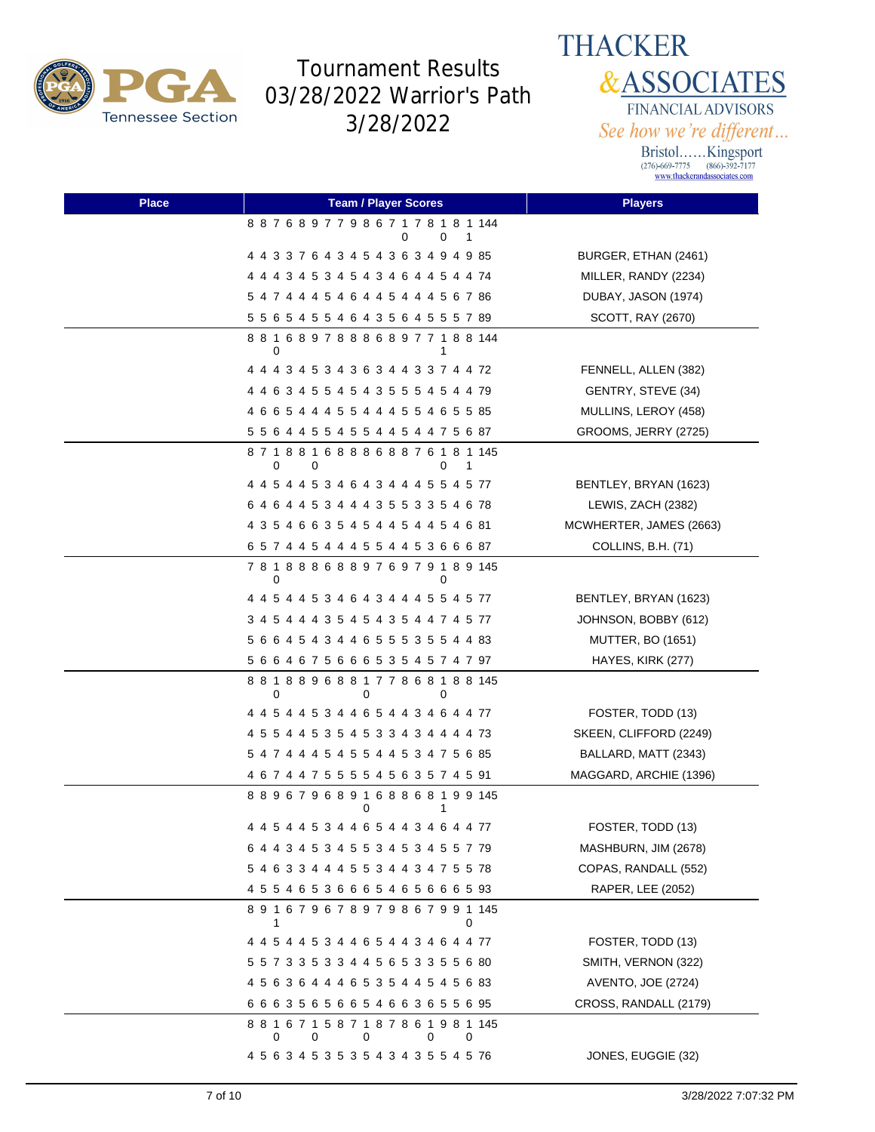

**THACKER &ASSOCIATES** FINANCIAL ADVISORS See how we're different...

| <b>Place</b> | <b>Team / Player Scores</b>                                      | <b>Players</b>           |
|--------------|------------------------------------------------------------------|--------------------------|
|              | 887689779867178181144<br>0<br>1<br>0                             |                          |
|              | 4 4 3 3 7 6 4 3 4 5 4 3 6 3 4 9 4 9 85                           | BURGER, ETHAN (2461)     |
|              | 4 4 4 3 4 5 3 4 5 4 3 4 6 4 4 5 4 4 74                           | MILLER, RANDY (2234)     |
|              | 5 4 7 4 4 4 5 4 6 4 4 5 4 4 4 5 6 7 86                           | DUBAY, JASON (1974)      |
|              | 5 5 6 5 4 5 5 4 6 4 3 5 6 4 5 5 5 7 89                           | SCOTT, RAY (2670)        |
|              | 881689788868977188144<br>0<br>1                                  |                          |
|              |                                                                  | FENNELL, ALLEN (382)     |
|              | 4 4 6 3 4 5 5 4 5 4 3 5 5 5 4 5 4 4 79                           | GENTRY, STEVE (34)       |
|              | 4 6 6 5 4 4 4 5 5 4 4 4 5 5 4 6 5 5 85                           | MULLINS, LEROY (458)     |
|              | 5 5 6 4 4 5 5 4 5 5 4 4 5 4 4 7 5 6 87                           | GROOMS, JERRY (2725)     |
|              | 8 7 1 8 8 1 6 8 8 8 6 8 8 7 6 1 8 1 145<br>0<br>0<br>0<br>1      |                          |
|              | 4 4 5 4 4 5 3 4 6 4 3 4 4 4 5 5 4 5 77                           | BENTLEY, BRYAN (1623)    |
|              | 6 4 6 4 4 5 3 4 4 4 3 5 5 3 3 5 4 6 78                           | LEWIS, ZACH (2382)       |
|              | 4 3 5 4 6 6 3 5 4 5 4 4 5 4 4 5 4 6 81                           | MCWHERTER, JAMES (2663)  |
|              | 6 5 7 4 4 5 4 4 4 5 5 4 4 5 3 6 6 6 87                           | COLLINS, B.H. (71)       |
|              | 781888688976979189145<br>0<br>0                                  |                          |
|              |                                                                  | BENTLEY, BRYAN (1623)    |
|              | 3 4 5 4 4 4 3 5 4 5 4 3 5 4 4 7 4 5 77                           | JOHNSON, BOBBY (612)     |
|              | 5 6 6 4 5 4 3 4 4 6 5 5 5 3 5 5 4 4 83                           | <b>MUTTER, BO (1651)</b> |
|              | 5 6 6 4 6 7 5 6 6 6 5 3 5 4 5 7 4 7 97                           | HAYES, KIRK (277)        |
|              | 881889688177868188145<br>0<br>0<br>0                             |                          |
|              | 4 4 5 4 4 5 3 4 4 6 5 4 4 3 4 6 4 4 77                           | FOSTER, TODD (13)        |
|              | 4 5 5 4 4 5 3 5 4 5 3 3 4 3 4 4 4 4 73                           | SKEEN, CLIFFORD (2249)   |
|              | 5 4 7 4 4 4 5 4 5 5 4 4 5 3 4 7 5 6 85                           | BALLARD, MATT (2343)     |
|              | 4 6 7 4 4 7 5 5 5 5 4 5 6 3 5 7 4 5 91                           | MAGGARD, ARCHIE (1396)   |
|              | 889679689168868199145<br>0<br>1                                  |                          |
|              | 4 4 5 4 4 5 3 4 4 6 5 4 4 3 4 6 4 4 77                           | FOSTER, TODD (13)        |
|              | 6 4 4 3 4 5 3 4 5 5 3 4 5 3 4 5 5 7 79                           | MASHBURN, JIM (2678)     |
|              | 5 4 6 3 3 4 4 4 5 5 3 4 4 3 4 7 5 5 78                           | COPAS, RANDALL (552)     |
|              | 4 5 5 4 6 5 3 6 6 6 5 4 6 5 6 6 6 5 93                           | RAPER, LEE (2052)        |
|              | 891679678979867991145<br>0<br>1                                  |                          |
|              |                                                                  | FOSTER, TODD (13)        |
|              | 5 5 7 3 3 5 3 3 4 4 5 6 5 3 3 5 5 6 80                           | SMITH, VERNON (322)      |
|              | 4 5 6 3 6 4 4 4 6 5 3 5 4 4 5 4 5 6 83                           | AVENTO, JOE (2724)       |
|              | 6 6 6 3 5 6 5 6 6 5 4 6 6 3 6 5 5 6 95                           | CROSS, RANDALL (2179)    |
|              | 8 8 1 6 7 1 5 8 7 1 8 7 8 6 1 9 8 1 145<br>0<br>0<br>0<br>0<br>0 |                          |
|              | 4 5 6 3 4 5 3 5 3 5 4 3 4 3 5 5 4 5 76                           | JONES, EUGGIE (32)       |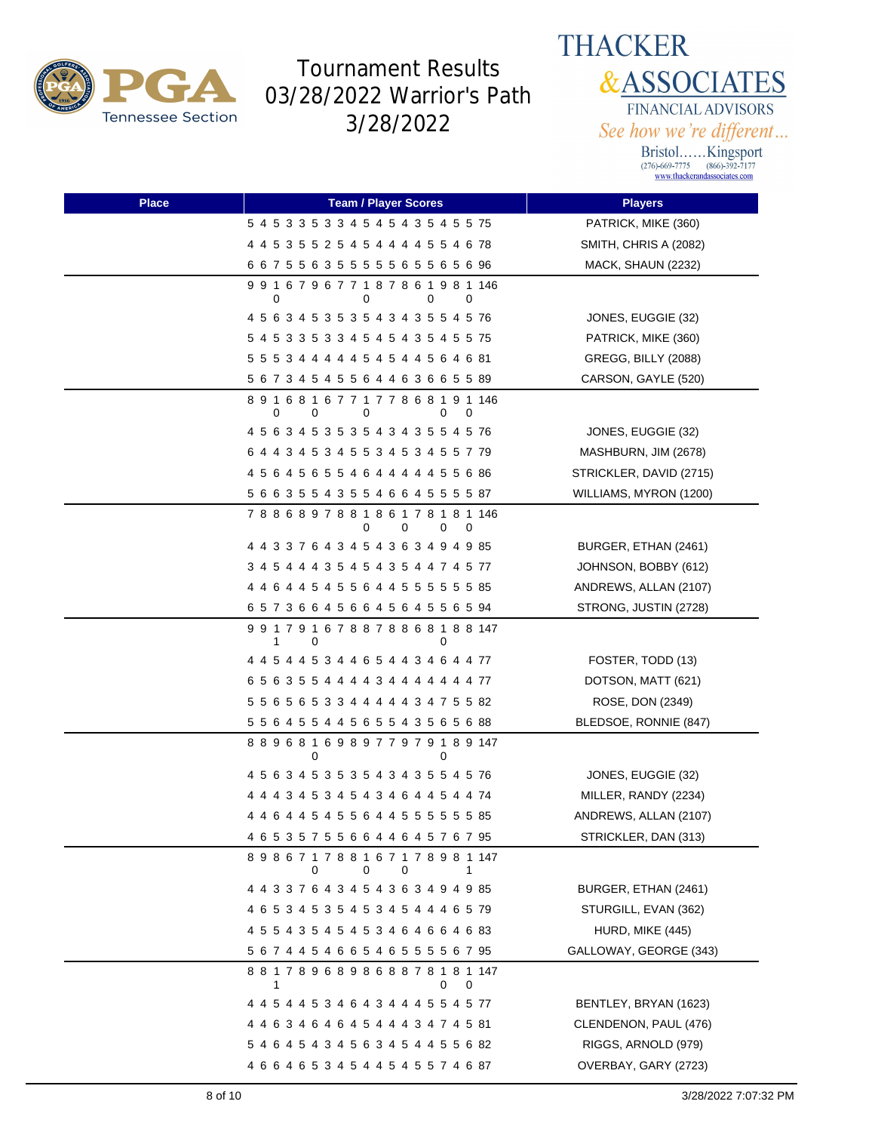



| <b>Place</b> | <b>Team / Player Scores</b>                                 | <b>Players</b>          |
|--------------|-------------------------------------------------------------|-------------------------|
|              | 5 4 5 3 3 5 3 3 4 5 4 5 4 3 5 4 5 5 75                      | PATRICK, MIKE (360)     |
|              | 4 4 5 3 5 5 2 5 4 5 4 4 4 4 5 5 4 6 78                      | SMITH, CHRIS A (2082)   |
|              | 6 6 7 5 5 6 3 5 5 5 5 5 6 5 5 6 5 6 96                      | MACK, SHAUN (2232)      |
|              | 9 9 1 6 7 9 6 7 7 1 8 7 8 6 1 9 8 1 146<br>0<br>0<br>0<br>0 |                         |
|              | 4 5 6 3 4 5 3 5 3 5 4 3 4 3 5 5 4 5 76                      | JONES, EUGGIE (32)      |
|              | 5 4 5 3 3 5 3 3 4 5 4 5 4 3 5 4 5 5 75                      | PATRICK, MIKE (360)     |
|              | 5 5 5 3 4 4 4 4 4 5 4 5 4 4 5 6 4 6 81                      | GREGG, BILLY (2088)     |
|              | 5 6 7 3 4 5 4 5 5 6 4 4 6 3 6 6 5 5 89                      | CARSON, GAYLE (520)     |
|              | 891681677177868191146<br>0<br>0<br>0<br>0<br>0              |                         |
|              | 4 5 6 3 4 5 3 5 3 5 4 3 4 3 5 5 4 5 76                      | JONES, EUGGIE (32)      |
|              | 6 4 4 3 4 5 3 4 5 5 3 4 5 3 4 5 5 7 79                      | MASHBURN, JIM (2678)    |
|              | 4 5 6 4 5 6 5 5 4 6 4 4 4 4 4 5 5 6 86                      | STRICKLER, DAVID (2715) |
|              | 5 6 6 3 5 5 4 3 5 5 4 6 6 4 5 5 5 5 87                      | WILLIAMS, MYRON (1200)  |
|              | 7 8 8 6 8 9 7 8 8 1 8 6 1 7 8 1 8 1 146<br>0<br>0<br>0<br>0 |                         |
|              | 4 4 3 3 7 6 4 3 4 5 4 3 6 3 4 9 4 9 85                      | BURGER, ETHAN (2461)    |
|              | 3 4 5 4 4 4 3 5 4 5 4 3 5 4 4 7 4 5 77                      | JOHNSON, BOBBY (612)    |
|              | 4 4 6 4 4 5 4 5 5 6 4 4 5 5 5 5 5 5 6 85                    | ANDREWS, ALLAN (2107)   |
|              | 65736645664564556594                                        | STRONG, JUSTIN (2728)   |
|              | 991791678878868188147<br>1<br>0<br>0                        |                         |
|              | 4 4 5 4 4 5 3 4 4 6 5 4 4 3 4 6 4 4 77                      | FOSTER, TODD (13)       |
|              | 6 5 6 3 5 5 4 4 4 4 3 4 4 4 4 4 4 4 77                      | DOTSON, MATT (621)      |
|              | 5 5 6 5 6 5 3 3 4 4 4 4 4 3 4 7 5 5 82                      | ROSE, DON (2349)        |
|              | 5 5 6 4 5 5 4 4 5 6 5 5 4 3 5 6 5 6 88                      | BLEDSOE, RONNIE (847)   |
|              | 889681698977979189147<br>0<br>0                             |                         |
|              | 4 5 6 3 4 5 3 5 3 5 4 3 4 3 5 5 4 5 76                      | JONES, EUGGIE (32)      |
|              | 4 4 4 3 4 5 3 4 5 4 3 4 6 4 4 5 4 4 74                      | MILLER, RANDY (2234)    |
|              | 4 4 6 4 4 5 4 5 5 6 4 4 5 5 5 5 5 5 6 85                    | ANDREWS, ALLAN (2107)   |
|              | 4 6 5 3 5 7 5 5 6 6 4 4 6 4 5 7 6 7 95                      | STRICKLER, DAN (313)    |
|              | 898671788167178981147<br>0<br>0<br>0<br>1                   |                         |
|              | 4 4 3 3 7 6 4 3 4 5 4 3 6 3 4 9 4 9 85                      | BURGER, ETHAN (2461)    |
|              | 4 6 5 3 4 5 3 5 4 5 3 4 5 4 4 4 6 5 79                      | STURGILL, EVAN (362)    |
|              | 4 5 5 4 3 5 4 5 4 5 3 4 6 4 6 6 4 6 83                      | HURD, MIKE (445)        |
|              | 5 6 7 4 4 5 4 6 6 5 4 6 5 5 5 5 6 7 95                      | GALLOWAY, GEORGE (343)  |
|              | 881789689868878181147<br>0<br>1<br>0                        |                         |
|              | 4 4 5 4 4 5 3 4 6 4 3 4 4 4 5 5 4 5 77                      | BENTLEY, BRYAN (1623)   |
|              | 4 4 6 3 4 6 4 6 4 5 4 4 4 3 4 7 4 5 81                      | CLENDENON, PAUL (476)   |
|              | 5 4 6 4 5 4 3 4 5 6 3 4 5 4 4 5 5 6 82                      | RIGGS, ARNOLD (979)     |
|              | 4 6 6 4 6 5 3 4 5 4 4 5 4 5 5 7 4 6 87                      | OVERBAY, GARY (2723)    |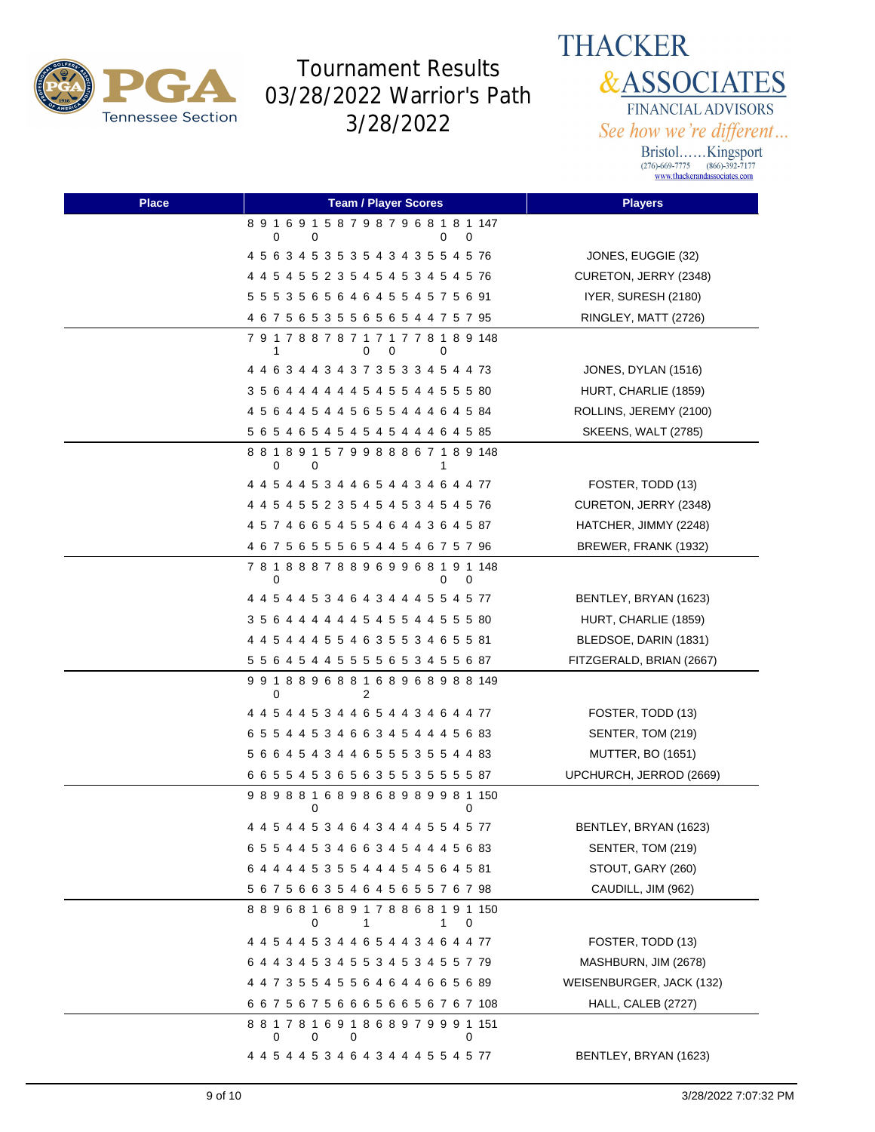

**THACKER &ASSOCIATES** FINANCIAL ADVISORS See how we're different...

| <b>Place</b> | <b>Team / Player Scores</b>                                 | <b>Players</b>             |
|--------------|-------------------------------------------------------------|----------------------------|
|              | 891691587987968181147<br>0<br>0<br>0<br>0                   |                            |
|              | 4 5 6 3 4 5 3 5 3 5 4 3 4 3 5 5 4 5 76                      | JONES, EUGGIE (32)         |
|              | 4 4 5 4 5 5 2 3 5 4 5 4 5 3 4 5 4 5 76                      | CURETON, JERRY (2348)      |
|              | 5 5 5 3 5 6 5 6 4 6 4 5 5 4 5 7 5 6 91                      | IYER, SURESH (2180)        |
|              | 4 6 7 5 6 5 3 5 5 6 5 6 5 4 4 7 5 7 95                      | RINGLEY, MATT (2726)       |
|              | 7 9 1 7 8 8 7 8 7 1 7 1 7 7 8 1 8 9 148<br>0<br>1<br>0<br>0 |                            |
|              | 4 4 6 3 4 4 3 4 3 7 3 5 3 3 4 5 4 4 73                      | JONES, DYLAN (1516)        |
|              | 3 5 6 4 4 4 4 4 4 5 4 5 5 4 4 5 5 5 80                      | HURT, CHARLIE (1859)       |
|              | 4 5 6 4 4 5 4 4 5 6 5 5 4 4 4 6 4 5 84                      | ROLLINS, JEREMY (2100)     |
|              | 5 6 5 4 6 5 4 5 4 5 4 5 4 4 4 6 4 5 85                      | <b>SKEENS, WALT (2785)</b> |
|              | 881891579988867189148<br>0<br>0<br>1                        |                            |
|              | 4 4 5 4 4 5 3 4 4 6 5 4 4 3 4 6 4 4 77                      | FOSTER, TODD (13)          |
|              | 4 4 5 4 5 5 2 3 5 4 5 4 5 3 4 5 4 5 76                      | CURETON, JERRY (2348)      |
|              | 4 5 7 4 6 6 5 4 5 5 4 6 4 4 3 6 4 5 87                      | HATCHER, JIMMY (2248)      |
|              | 4 6 7 5 6 5 5 5 6 5 4 4 5 4 6 7 5 7 96                      | BREWER, FRANK (1932)       |
|              | 781888788969968191148<br>0<br>0<br>0                        |                            |
|              | 4 4 5 4 4 5 3 4 6 4 3 4 4 4 5 5 4 5 77                      | BENTLEY, BRYAN (1623)      |
|              | 3 5 6 4 4 4 4 4 4 5 4 5 5 4 4 5 5 5 80                      | HURT, CHARLIE (1859)       |
|              | 4 4 5 4 4 4 5 5 4 6 3 5 5 3 4 6 5 5 81                      | BLEDSOE, DARIN (1831)      |
|              | 5 5 6 4 5 4 4 5 5 5 5 6 5 3 4 5 5 6 87                      | FITZGERALD, BRIAN (2667)   |
|              | 991889688168968988149<br>0<br>2                             |                            |
|              | 4 4 5 4 4 5 3 4 4 6 5 4 4 3 4 6 4 4 77                      | FOSTER, TODD (13)          |
|              | 6 5 5 4 4 5 3 4 6 6 3 4 5 4 4 4 5 6 83                      | SENTER, TOM (219)          |
|              | 5 6 6 4 5 4 3 4 4 6 5 5 5 3 5 5 4 4 83                      | <b>MUTTER, BO (1651)</b>   |
|              | 6 6 5 5 4 5 3 6 5 6 3 5 5 3 5 5 5 5 87                      | UPCHURCH, JERROD (2669)    |
|              | 989881689868989981150<br>0<br>0                             |                            |
|              | 4 4 5 4 4 5 3 4 6 4 3 4 4 4 5 5 4 5 77                      | BENTLEY, BRYAN (1623)      |
|              | 6 5 5 4 4 5 3 4 6 6 3 4 5 4 4 4 5 6 83                      | SENTER, TOM (219)          |
|              | 6 4 4 4 4 5 3 5 5 4 4 4 5 4 5 6 4 5 81                      | STOUT, GARY (260)          |
|              | 5 6 7 5 6 6 3 5 4 6 4 5 6 5 5 7 6 7 98                      | CAUDILL, JIM (962)         |
|              | 889681689178868191150<br>0<br>1.<br>0<br>1                  |                            |
|              | 4 4 5 4 4 5 3 4 4 6 5 4 4 3 4 6 4 4 77                      | FOSTER, TODD (13)          |
|              | 6 4 4 3 4 5 3 4 5 5 3 4 5 3 4 5 5 7 79                      | MASHBURN, JIM (2678)       |
|              | 4 4 7 3 5 5 4 5 5 6 4 6 4 4 6 6 5 6 89                      | WEISENBURGER, JACK (132)   |
|              | 6 6 7 5 6 7 5 6 6 6 5 6 6 5 6 7 6 7 108                     | HALL, CALEB (2727)         |
|              | 881781691868979991151<br>0<br>0<br>0<br>0                   |                            |
|              | 4 4 5 4 4 5 3 4 6 4 3 4 4 4 5 5 4 5 77                      | BENTLEY, BRYAN (1623)      |